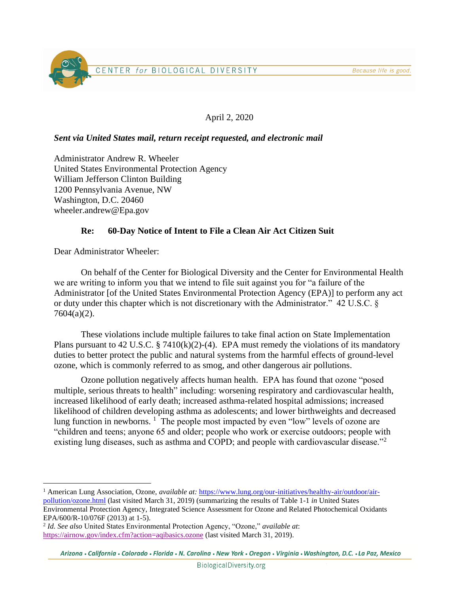Because life is good.

# CENTER for BIOLOGICAL DIVERSITY

## April 2, 2020

### *Sent via United States mail, return receipt requested, and electronic mail*

Administrator Andrew R. Wheeler United States Environmental Protection Agency William Jefferson Clinton Building 1200 Pennsylvania Avenue, NW Washington, D.C. 20460 wheeler.andrew@Epa.gov

#### **Re: 60-Day Notice of Intent to File a Clean Air Act Citizen Suit**

Dear Administrator Wheeler:

On behalf of the Center for Biological Diversity and the Center for Environmental Health we are writing to inform you that we intend to file suit against you for "a failure of the Administrator [of the United States Environmental Protection Agency (EPA)] to perform any act or duty under this chapter which is not discretionary with the Administrator." 42 U.S.C. § 7604(a)(2).

These violations include multiple failures to take final action on State Implementation Plans pursuant to 42 U.S.C. § 7410 $(k)(2)-(4)$ . EPA must remedy the violations of its mandatory duties to better protect the public and natural systems from the harmful effects of ground-level ozone, which is commonly referred to as smog, and other dangerous air pollutions.

Ozone pollution negatively affects human health. EPA has found that ozone "posed multiple, serious threats to health" including: worsening respiratory and cardiovascular health, increased likelihood of early death; increased asthma-related hospital admissions; increased likelihood of children developing asthma as adolescents; and lower birthweights and decreased lung function in newborns.  $\frac{1}{1}$  The people most impacted by even "low" levels of ozone are "children and teens; anyone 65 and older; people who work or exercise outdoors; people with existing lung diseases, such as asthma and COPD; and people with cardiovascular disease."<sup>2</sup>

<sup>1</sup> American Lung Association, Ozone, *available at:* [https://www.lung.org/our-initiatives/healthy-air/outdoor/air](https://www.lung.org/our-initiatives/healthy-air/outdoor/air-pollution/ozone.html)[pollution/ozone.html](https://www.lung.org/our-initiatives/healthy-air/outdoor/air-pollution/ozone.html) (last visited March 31, 2019) (summarizing the results of Table 1-1 *in* United States Environmental Protection Agency, Integrated Science Assessment for Ozone and Related Photochemical Oxidants EPA/600/R-10/076F (2013) at 1-5).

<sup>2</sup> *Id. See also* United States Environmental Protection Agency, "Ozone," *available at*: <https://airnow.gov/index.cfm?action=aqibasics.ozone> (last visited March 31, 2019).

Arizona · California · Colorado · Florida · N. Carolina · New York · Oregon · Virginia · Washington, D.C. · La Paz, Mexico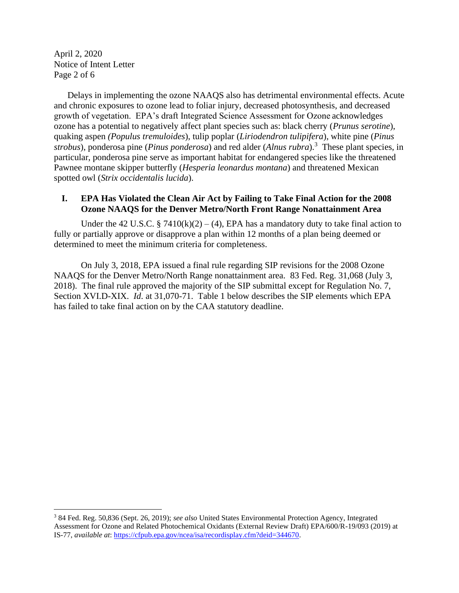April 2, 2020 Notice of Intent Letter Page 2 of 6

Delays in implementing the ozone NAAQS also has detrimental environmental effects. Acute and chronic exposures to ozone lead to foliar injury, decreased photosynthesis, and decreased growth of vegetation. EPA's draft Integrated Science Assessment for Ozone acknowledges ozone has a potential to negatively affect plant species such as: black cherry (*Prunus serotine*), quaking aspen *(Populus tremuloides*), tulip poplar (*Liriodendron tulipifera*), white pine (*Pinus strobus*), ponderosa pine (*Pinus ponderosa*) and red alder (*Alnus rubra*).<sup>3</sup> These plant species, in particular, ponderosa pine serve as important habitat for endangered species like the threatened Pawnee montane skipper butterfly (*Hesperia leonardus montana*) and threatened Mexican spotted owl (*Strix occidentalis lucida*).

#### **I. EPA Has Violated the Clean Air Act by Failing to Take Final Action for the 2008 Ozone NAAQS for the Denver Metro/North Front Range Nonattainment Area**

Under the 42 U.S.C. § 7410(k)(2) – (4), EPA has a mandatory duty to take final action to fully or partially approve or disapprove a plan within 12 months of a plan being deemed or determined to meet the minimum criteria for completeness.

On July 3, 2018, EPA issued a final rule regarding SIP revisions for the 2008 Ozone NAAQS for the Denver Metro/North Range nonattainment area. 83 Fed. Reg. 31,068 (July 3, 2018). The final rule approved the majority of the SIP submittal except for Regulation No. 7, Section XVI.D-XIX. *Id*. at 31,070-71. Table 1 below describes the SIP elements which EPA has failed to take final action on by the CAA statutory deadline.

<sup>3</sup> 84 Fed. Reg. 50,836 (Sept. 26, 2019); *see also* United States Environmental Protection Agency, Integrated Assessment for Ozone and Related Photochemical Oxidants (External Review Draft) EPA/600/R-19/093 (2019) at IS-77, *available at*: [https://cfpub.epa.gov/ncea/isa/recordisplay.cfm?deid=344670.](https://cfpub.epa.gov/ncea/isa/recordisplay.cfm?deid=344670)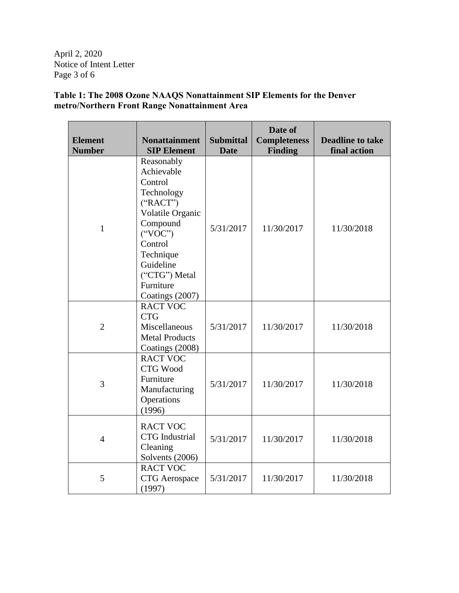April 2, 2020 Notice of Intent Letter Page 3 of 6

**Table 1: The 2008 Ozone NAAQS Nonattainment SIP Elements for the Denver metro/Northern Front Range Nonattainment Area**

| <b>Element</b><br><b>Number</b> | <b>Nonattainment</b><br><b>SIP Element</b>                                                                                                                                                      | <b>Submittal</b><br><b>Date</b> | Date of<br><b>Completeness</b><br><b>Finding</b> | <b>Deadline to take</b><br>final action |
|---------------------------------|-------------------------------------------------------------------------------------------------------------------------------------------------------------------------------------------------|---------------------------------|--------------------------------------------------|-----------------------------------------|
| $\mathbf{1}$                    | Reasonably<br>Achievable<br>Control<br>Technology<br>("RACT")<br>Volatile Organic<br>Compound<br>(``VOC")<br>Control<br>Technique<br>Guideline<br>("CTG") Metal<br>Furniture<br>Coatings (2007) | 5/31/2017                       | 11/30/2017                                       | 11/30/2018                              |
| $\overline{2}$                  | <b>RACT VOC</b><br><b>CTG</b><br>Miscellaneous<br><b>Metal Products</b><br>Coatings (2008)                                                                                                      | 5/31/2017                       | 11/30/2017                                       | 11/30/2018                              |
| 3                               | <b>RACT VOC</b><br>CTG Wood<br>Furniture<br>Manufacturing<br>Operations<br>(1996)                                                                                                               | 5/31/2017                       | 11/30/2017                                       | 11/30/2018                              |
| $\overline{4}$                  | <b>RACT VOC</b><br><b>CTG</b> Industrial<br>Cleaning<br>Solvents (2006)                                                                                                                         | 5/31/2017                       | 11/30/2017                                       | 11/30/2018                              |
| 5                               | <b>RACT VOC</b><br><b>CTG</b> Aerospace<br>(1997)                                                                                                                                               | 5/31/2017                       | 11/30/2017                                       | 11/30/2018                              |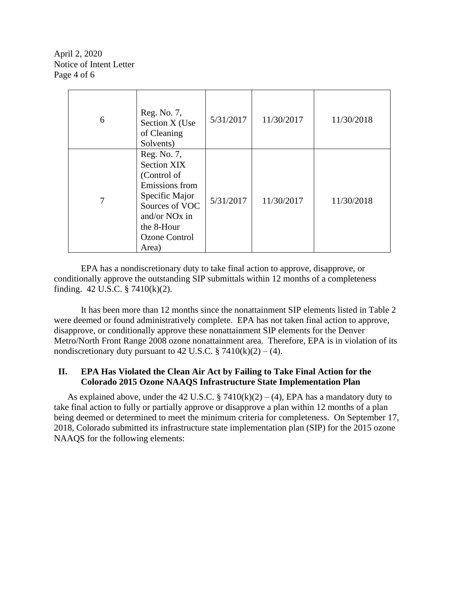April 2, 2020 Notice of Intent Letter Page 4 of 6

| 6 | Reg. No. 7,<br>Section X (Use<br>of Cleaning<br>Solvents)                                                                                                                          | 5/31/2017 | 11/30/2017 | 11/30/2018 |
|---|------------------------------------------------------------------------------------------------------------------------------------------------------------------------------------|-----------|------------|------------|
|   | Reg. No. 7,<br><b>Section XIX</b><br>(Control of<br>Emissions from<br>Specific Major<br>Sources of VOC<br>and/or NO <sub>x</sub> in<br>the 8-Hour<br><b>Ozone Control</b><br>Area) | 5/31/2017 | 11/30/2017 | 11/30/2018 |

EPA has a nondiscretionary duty to take final action to approve, disapprove, or conditionally approve the outstanding SIP submittals within 12 months of a completeness finding. 42 U.S.C. § 7410(k)(2).

It has been more than 12 months since the nonattainment SIP elements listed in Table 2 were deemed or found administratively complete. EPA has not taken final action to approve, disapprove, or conditionally approve these nonattainment SIP elements for the Denver Metro/North Front Range 2008 ozone nonattainment area. Therefore, EPA is in violation of its nondiscretionary duty pursuant to 42 U.S.C.  $\S$  7410(k)(2) – (4).

#### **II. EPA Has Violated the Clean Air Act by Failing to Take Final Action for the Colorado 2015 Ozone NAAQS Infrastructure State Implementation Plan**

As explained above, under the 42 U.S.C. § 7410 $(k)(2) - (4)$ , EPA has a mandatory duty to take final action to fully or partially approve or disapprove a plan within 12 months of a plan being deemed or determined to meet the minimum criteria for completeness. On September 17, 2018, Colorado submitted its infrastructure state implementation plan (SIP) for the 2015 ozone NAAQS for the following elements: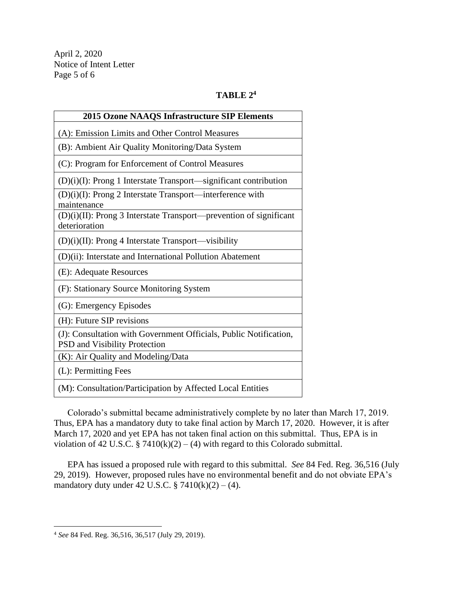April 2, 2020 Notice of Intent Letter Page 5 of 6

## **TABLE 2<sup>4</sup>**

| <b>2015 Ozone NAAQS Infrastructure SIP Elements</b>                                                       |  |  |  |  |
|-----------------------------------------------------------------------------------------------------------|--|--|--|--|
| (A): Emission Limits and Other Control Measures                                                           |  |  |  |  |
| (B): Ambient Air Quality Monitoring/Data System                                                           |  |  |  |  |
| (C): Program for Enforcement of Control Measures                                                          |  |  |  |  |
| $(D)(i)(I)$ : Prong 1 Interstate Transport—significant contribution                                       |  |  |  |  |
| $(D)(i)(I)$ : Prong 2 Interstate Transport—interference with<br>maintenance                               |  |  |  |  |
| (D)(i)(II): Prong 3 Interstate Transport—prevention of significant<br>deterioration                       |  |  |  |  |
| (D)(i)(II): Prong 4 Interstate Transport—visibility                                                       |  |  |  |  |
| (D)(ii): Interstate and International Pollution Abatement                                                 |  |  |  |  |
| (E): Adequate Resources                                                                                   |  |  |  |  |
| (F): Stationary Source Monitoring System                                                                  |  |  |  |  |
| (G): Emergency Episodes                                                                                   |  |  |  |  |
| (H): Future SIP revisions                                                                                 |  |  |  |  |
| (J): Consultation with Government Officials, Public Notification,<br><b>PSD</b> and Visibility Protection |  |  |  |  |
| (K): Air Quality and Modeling/Data                                                                        |  |  |  |  |
| (L): Permitting Fees                                                                                      |  |  |  |  |
| (M): Consultation/Participation by Affected Local Entities                                                |  |  |  |  |

Colorado's submittal became administratively complete by no later than March 17, 2019. Thus, EPA has a mandatory duty to take final action by March 17, 2020. However, it is after March 17, 2020 and yet EPA has not taken final action on this submittal. Thus, EPA is in violation of 42 U.S.C. § 7410(k)(2) – (4) with regard to this Colorado submittal.

EPA has issued a proposed rule with regard to this submittal. *See* 84 Fed. Reg. 36,516 (July 29, 2019). However, proposed rules have no environmental benefit and do not obviate EPA's mandatory duty under 42 U.S.C.  $\S$  7410(k)(2) – (4).

<sup>4</sup> *See* 84 Fed. Reg. 36,516, 36,517 (July 29, 2019).